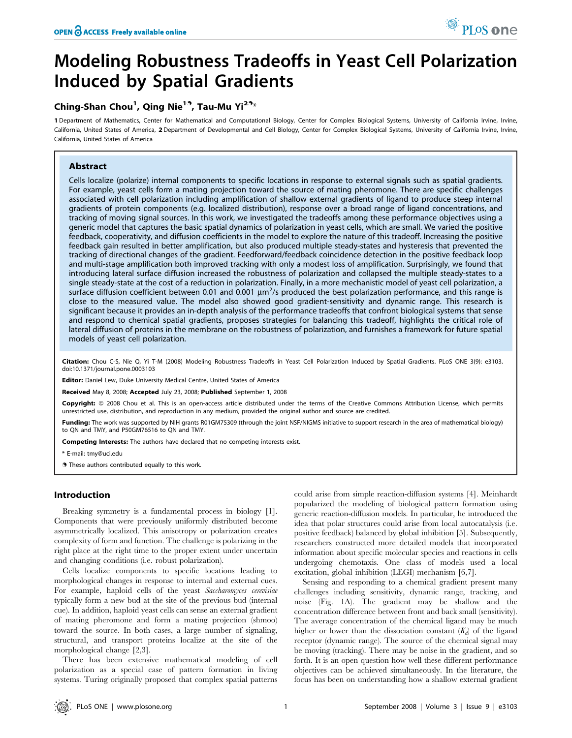# Modeling Robustness Tradeoffs in Yeast Cell Polarization Induced by Spatial Gradients

## Ching-Shan Chou<sup>1</sup>, Qing Nie<sup>19</sup>, Tau-Mu Yi<sup>29</sup>\*

1 Department of Mathematics, Center for Mathematical and Computational Biology, Center for Complex Biological Systems, University of California Irvine, Irvine, California, United States of America, 2 Department of Developmental and Cell Biology, Center for Complex Biological Systems, University of California Irvine, Irvine, California, United States of America

## Abstract

Cells localize (polarize) internal components to specific locations in response to external signals such as spatial gradients. For example, yeast cells form a mating projection toward the source of mating pheromone. There are specific challenges associated with cell polarization including amplification of shallow external gradients of ligand to produce steep internal gradients of protein components (e.g. localized distribution), response over a broad range of ligand concentrations, and tracking of moving signal sources. In this work, we investigated the tradeoffs among these performance objectives using a generic model that captures the basic spatial dynamics of polarization in yeast cells, which are small. We varied the positive feedback, cooperativity, and diffusion coefficients in the model to explore the nature of this tradeoff. Increasing the positive feedback gain resulted in better amplification, but also produced multiple steady-states and hysteresis that prevented the tracking of directional changes of the gradient. Feedforward/feedback coincidence detection in the positive feedback loop and multi-stage amplification both improved tracking with only a modest loss of amplification. Surprisingly, we found that introducing lateral surface diffusion increased the robustness of polarization and collapsed the multiple steady-states to a single steady-state at the cost of a reduction in polarization. Finally, in a more mechanistic model of yeast cell polarization, a surface diffusion coefficient between 0.01 and 0.001  $\mu$ m<sup>2</sup>/s produced the best polarization performance, and this range is close to the measured value. The model also showed good gradient-sensitivity and dynamic range. This research is significant because it provides an in-depth analysis of the performance tradeoffs that confront biological systems that sense and respond to chemical spatial gradients, proposes strategies for balancing this tradeoff, highlights the critical role of lateral diffusion of proteins in the membrane on the robustness of polarization, and furnishes a framework for future spatial models of yeast cell polarization.

Citation: Chou C-S, Nie Q, Yi T-M (2008) Modeling Robustness Tradeoffs in Yeast Cell Polarization Induced by Spatial Gradients. PLoS ONE 3(9): e3103. doi:10.1371/journal.pone.0003103

Editor: Daniel Lew, Duke University Medical Centre, United States of America

Received May 8, 2008; Accepted July 23, 2008; Published September 1, 2008

Copyright: @ 2008 Chou et al. This is an open-access article distributed under the terms of the Creative Commons Attribution License, which permits unrestricted use, distribution, and reproduction in any medium, provided the original author and source are credited.

Funding: The work was supported by NIH grants R01GM75309 (through the joint NSF/NIGMS initiative to support research in the area of mathematical biology) to QN and TMY, and P50GM76516 to QN and TMY.

Competing Interests: The authors have declared that no competing interests exist.

\* E-mail: tmy@uci.edu

. These authors contributed equally to this work.

## Introduction

Breaking symmetry is a fundamental process in biology [1]. Components that were previously uniformly distributed become asymmetrically localized. This anisotropy or polarization creates complexity of form and function. The challenge is polarizing in the right place at the right time to the proper extent under uncertain and changing conditions (i.e. robust polarization).

Cells localize components to specific locations leading to morphological changes in response to internal and external cues. For example, haploid cells of the yeast Saccharomyces cerevisiae typically form a new bud at the site of the previous bud (internal cue). In addition, haploid yeast cells can sense an external gradient of mating pheromone and form a mating projection (shmoo) toward the source. In both cases, a large number of signaling, structural, and transport proteins localize at the site of the morphological change [2,3].

There has been extensive mathematical modeling of cell polarization as a special case of pattern formation in living systems. Turing originally proposed that complex spatial patterns could arise from simple reaction-diffusion systems [4]. Meinhardt popularized the modeling of biological pattern formation using generic reaction-diffusion models. In particular, he introduced the idea that polar structures could arise from local autocatalysis (i.e. positive feedback) balanced by global inhibition [5]. Subsequently, researchers constructed more detailed models that incorporated information about specific molecular species and reactions in cells undergoing chemotaxis. One class of models used a local excitation, global inhibition (LEGI) mechanism [6,7].

Sensing and responding to a chemical gradient present many challenges including sensitivity, dynamic range, tracking, and noise (Fig. 1A). The gradient may be shallow and the concentration difference between front and back small (sensitivity). The average concentration of the chemical ligand may be much higher or lower than the dissociation constant  $(K_d)$  of the ligand receptor (dynamic range). The source of the chemical signal may be moving (tracking). There may be noise in the gradient, and so forth. It is an open question how well these different performance objectives can be achieved simultaneously. In the literature, the focus has been on understanding how a shallow external gradient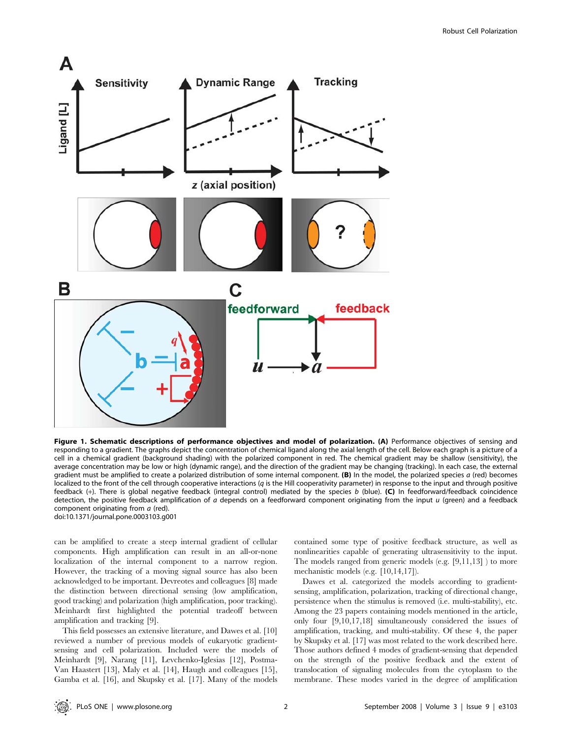

Figure 1. Schematic descriptions of performance objectives and model of polarization. (A) Performance objectives of sensing and responding to a gradient. The graphs depict the concentration of chemical ligand along the axial length of the cell. Below each graph is a picture of a cell in a chemical gradient (background shading) with the polarized component in red. The chemical gradient may be shallow (sensitivity), the average concentration may be low or high (dynamic range), and the direction of the gradient may be changing (tracking). In each case, the external gradient must be amplified to create a polarized distribution of some internal component.  $(B)$  In the model, the polarized species a (red) becomes localized to the front of the cell through cooperative interactions (q is the Hill cooperativity parameter) in response to the input and through positive feedback (+). There is global negative feedback (integral control) mediated by the species b (blue). (C) In feedforward/feedback coincidence detection, the positive feedback amplification of  $a$  depends on a feedforward component originating from the input  $u$  (green) and a feedback component originating from a (red). doi:10.1371/journal.pone.0003103.g001

can be amplified to create a steep internal gradient of cellular components. High amplification can result in an all-or-none localization of the internal component to a narrow region. However, the tracking of a moving signal source has also been acknowledged to be important. Devreotes and colleagues [8] made the distinction between directional sensing (low amplification, good tracking) and polarization (high amplification, poor tracking). Meinhardt first highlighted the potential tradeoff between amplification and tracking [9].

This field possesses an extensive literature, and Dawes et al. [10] reviewed a number of previous models of eukaryotic gradientsensing and cell polarization. Included were the models of Meinhardt [9], Narang [11], Levchenko-Iglesias [12], Postma-Van Haastert [13], Maly et al. [14], Haugh and colleagues [15], Gamba et al. [16], and Skupsky et al. [17]. Many of the models contained some type of positive feedback structure, as well as nonlinearities capable of generating ultrasensitivity to the input. The models ranged from generic models (e.g. [9,11,13] ) to more mechanistic models (e.g. [10,14,17]).

Dawes et al. categorized the models according to gradientsensing, amplification, polarization, tracking of directional change, persistence when the stimulus is removed (i.e. multi-stability), etc. Among the 23 papers containing models mentioned in the article, only four [9,10,17,18] simultaneously considered the issues of amplification, tracking, and multi-stability. Of these 4, the paper by Skupsky et al. [17] was most related to the work described here. Those authors defined 4 modes of gradient-sensing that depended on the strength of the positive feedback and the extent of translocation of signaling molecules from the cytoplasm to the membrane. These modes varied in the degree of amplification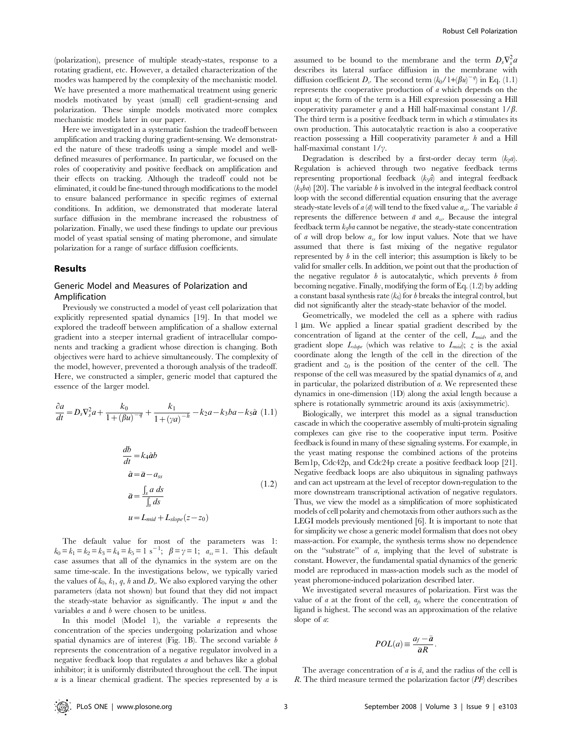(polarization), presence of multiple steady-states, response to a rotating gradient, etc. However, a detailed characterization of the modes was hampered by the complexity of the mechanistic model. We have presented a more mathematical treatment using generic models motivated by yeast (small) cell gradient-sensing and polarization. These simple models motivated more complex mechanistic models later in our paper.

Here we investigated in a systematic fashion the tradeoff between amplification and tracking during gradient-sensing. We demonstrated the nature of these tradeoffs using a simple model and welldefined measures of performance. In particular, we focused on the roles of cooperativity and positive feedback on amplification and their effects on tracking. Although the tradeoff could not be eliminated, it could be fine-tuned through modifications to the model to ensure balanced performance in specific regimes of external conditions. In addition, we demonstrated that moderate lateral surface diffusion in the membrane increased the robustness of polarization. Finally, we used these findings to update our previous model of yeast spatial sensing of mating pheromone, and simulate polarization for a range of surface diffusion coefficients.

## Results

## Generic Model and Measures of Polarization and Amplification

Previously we constructed a model of yeast cell polarization that explicitly represented spatial dynamics [19]. In that model we explored the tradeoff between amplification of a shallow external gradient into a steeper internal gradient of intracellular components and tracking a gradient whose direction is changing. Both objectives were hard to achieve simultaneously. The complexity of the model, however, prevented a thorough analysis of the tradeoff. Here, we constructed a simpler, generic model that captured the essence of the larger model.

$$
\frac{\partial a}{\partial t} = D_s \nabla_s^2 a + \frac{k_0}{1 + (\beta u)^{-q}} + \frac{k_1}{1 + (\gamma a)^{-h}} - k_2 a - k_3 b a - k_5 \hat{a}
$$
 (1.1)

$$
\frac{db}{dt} = k_4 \hat{a}b
$$
  
\n
$$
\hat{a} = \bar{a} - a_{ss}
$$
  
\n
$$
\bar{a} = \frac{\int_s a \, ds}{\int_s ds}
$$
  
\n
$$
u = L_{mid} + L_{slope}(z - z_0)
$$
\n(1.2)

The default value for most of the parameters was 1:  $k_0 = k_1 = k_2 = k_3 = k_4 = k_5 = 1$  s<sup>-1</sup>;  $\beta = \gamma = 1$ ;  $a_{ss} = 1$ . This default case assumes that all of the dynamics in the system are on the same time-scale. In the investigations below, we typically varied the values of  $k_0$ ,  $k_1$ , q, h and  $D_s$ . We also explored varying the other parameters (data not shown) but found that they did not impact the steady-state behavior as significantly. The input  $u$  and the variables a and b were chosen to be unitless.

In this model (Model 1), the variable a represents the concentration of the species undergoing polarization and whose spatial dynamics are of interest (Fig. 1B). The second variable b represents the concentration of a negative regulator involved in a negative feedback loop that regulates a and behaves like a global inhibitor; it is uniformly distributed throughout the cell. The input  $u$  is a linear chemical gradient. The species represented by  $a$  is

assumed to be bound to the membrane and the term  $D_s \nabla_s^2 a$ describes its lateral surface diffusion in the membrane with diffusion coefficient  $D_s$ . The second term  $(k_0/1+(\beta u)^{-q})$  in Eq. (1.1) represents the cooperative production of a which depends on the input  $u$ ; the form of the term is a Hill expression possessing a Hill cooperativity parameter  $q$  and a Hill half-maximal constant  $1/\beta$ . The third term is a positive feedback term in which  $a$  stimulates its own production. This autocatalytic reaction is also a cooperative reaction possessing a Hill cooperativity parameter  $h$  and a Hill half-maximal constant  $1/\gamma$ .

Degradation is described by a first-order decay term  $(k_2a)$ . Regulation is achieved through two negative feedback terms representing proportional feedback  $(k_5\hat{a})$  and integral feedback  $(k_3ba)$  [20]. The variable b is involved in the integral feedback control loop with the second differential equation ensuring that the average steady-state levels of  $a(\vec{a})$  will tend to the fixed value  $a_{ss}$ . The variable  $\hat{a}$ represents the difference between  $\bar{a}$  and  $a_{ss}$ . Because the integral feedback term  $k_3ba$  cannot be negative, the steady-state concentration of  $a$  will drop below  $a_{ss}$  for low input values. Note that we have assumed that there is fast mixing of the negative regulator represented by b in the cell interior; this assumption is likely to be valid for smaller cells. In addition, we point out that the production of the negative regulator  $b$  is autocatalytic, which prevents  $b$  from becoming negative. Finally, modifying the form of Eq. (1.2) by adding a constant basal synthesis rate  $(k_6)$  for b breaks the integral control, but did not significantly alter the steady-state behavior of the model.

Geometrically, we modeled the cell as a sphere with radius 1 µm. We applied a linear spatial gradient described by the concentration of ligand at the center of the cell,  $L_{mid}$ , and the gradient slope  $L_{slope}$  (which was relative to  $L_{mid}$ ); z is the axial coordinate along the length of the cell in the direction of the gradient and  $z_0$  is the position of the center of the cell. The response of the cell was measured by the spatial dynamics of a, and in particular, the polarized distribution of a. We represented these dynamics in one-dimension (1D) along the axial length because a sphere is rotationally symmetric around its axis (axisymmetric).

Biologically, we interpret this model as a signal transduction cascade in which the cooperative assembly of multi-protein signaling complexes can give rise to the cooperative input term. Positive feedback is found in many of these signaling systems. For example, in the yeast mating response the combined actions of the proteins Bem1p, Cdc42p, and Cdc24p create a positive feedback loop [21]. Negative feedback loops are also ubiquitous in signaling pathways and can act upstream at the level of receptor down-regulation to the more downstream transcriptional activation of negative regulators. Thus, we view the model as a simplification of more sophisticated models of cell polarity and chemotaxis from other authors such as the LEGI models previously mentioned [6]. It is important to note that for simplicity we chose a generic model formalism that does not obey mass-action. For example, the synthesis terms show no dependence on the ''substrate'' of a, implying that the level of substrate is constant. However, the fundamental spatial dynamics of the generic model are reproduced in mass-action models such as the model of yeast pheromone-induced polarization described later.

We investigated several measures of polarization. First was the value of  $a$  at the front of the cell,  $a_f$ , where the concentration of ligand is highest. The second was an approximation of the relative slope of a:

$$
POL(a) \equiv \frac{a_f - \bar{a}}{\bar{a}R}.
$$

The average concentration of  $a$  is  $\bar{a}$ , and the radius of the cell is R. The third measure termed the polarization factor (PF) describes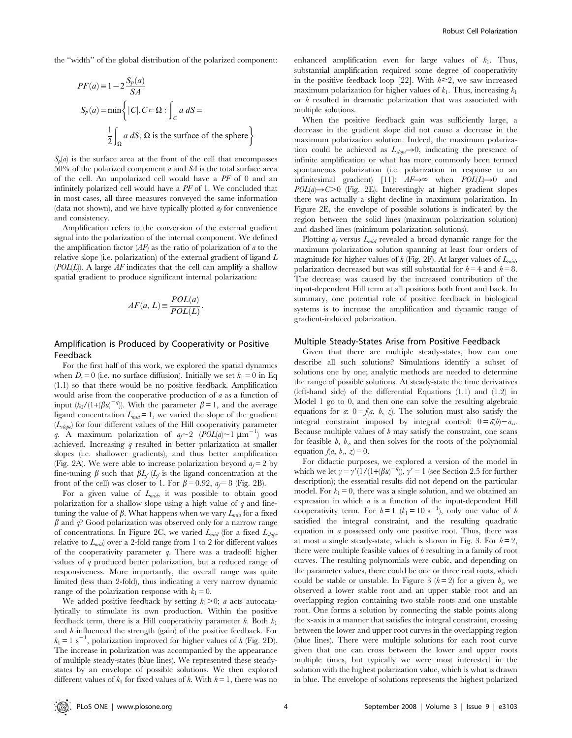the ''width'' of the global distribution of the polarized component:

$$
PF(a) \equiv 1 - 2\frac{S_p(a)}{SA}
$$
  

$$
S_p(a) = \min\left\{|C|, C \subset \Omega : \int_C a \, dS = \frac{1}{2}\int_{\Omega} a \, dS, \Omega \text{ is the surface of the sphere}\right\}
$$

 $S_n(a)$  is the surface area at the front of the cell that encompasses 50% of the polarized component  $a$  and  $SA$  is the total surface area of the cell. An unpolarized cell would have a PF of 0 and an infinitely polarized cell would have a PF of 1. We concluded that in most cases, all three measures conveyed the same information (data not shown), and we have typically plotted  $a_f$  for convenience and consistency.

Amplification refers to the conversion of the external gradient signal into the polarization of the internal component. We defined the amplification factor  $\langle AF \rangle$  as the ratio of polarization of a to the relative slope (i.e. polarization) of the external gradient of ligand L  $(POL(L))$ . A large AF indicates that the cell can amplify a shallow spatial gradient to produce significant internal polarization:

$$
AF(a, L) \equiv \frac{POL(a)}{POL(L)}.
$$

## Amplification is Produced by Cooperativity or Positive Feedback

For the first half of this work, we explored the spatial dynamics when  $D_s = 0$  (i.e. no surface diffusion). Initially we set  $k_1 = 0$  in Eq. (1.1) so that there would be no positive feedback. Amplification would arise from the cooperative production of  $a$  as a function of input  $(k_0/(1+(\beta u)^{-q})$ ). With the parameter  $\beta = 1$ , and the average ligand concentration  $L_{mid} = 1$ , we varied the slope of the gradient  $(L_{\text{slope}})$  for four different values of the Hill cooperativity parameter q. A maximum polarization of  $a_f \sim 2$   $(POL(a) \sim 1 \text{ }\mu\text{m}^{-1})$  was achieved. Increasing  $q$  resulted in better polarization at smaller slopes (i.e. shallower gradients), and thus better amplification (Fig. 2A). We were able to increase polarization beyond  $a_f = 2$  by fine-tuning  $\beta$  such that  $\beta L_f(L_f)$  is the ligand concentration at the front of the cell) was closer to 1. For  $\beta = 0.92$ ,  $a_f = 8$  (Fig. 2B).

For a given value of  $L_{mid}$ , it was possible to obtain good polarization for a shallow slope using a high value of  $q$  and finetuning the value of  $\beta$ . What happens when we vary  $L_{mid}$  for a fixed  $\beta$  and  $q$ ? Good polarization was observed only for a narrow range of concentrations. In Figure 2C, we varied  $L_{mid}$  (for a fixed  $L_{slope}$ relative to  $L_{mid}$  over a 2-fold range from 1 to 2 for different values of the cooperativity parameter  $q$ . There was a tradeoff: higher values of q produced better polarization, but a reduced range of responsiveness. More importantly, the overall range was quite limited (less than 2-fold), thus indicating a very narrow dynamic range of the polarization response with  $k_1 = 0$ .

We added positive feedback by setting  $k_1$ >0; a acts autocatalytically to stimulate its own production. Within the positive feedback term, there is a Hill cooperativity parameter  $h$ . Both  $k_1$ and h influenced the strength (gain) of the positive feedback. For  $k_1 = 1 \text{ s}^{-1}$ , polarization improved for higher values of h (Fig. 2D). The increase in polarization was accompanied by the appearance of multiple steady-states (blue lines). We represented these steadystates by an envelope of possible solutions. We then explored different values of  $k_1$  for fixed values of h. With  $h = 1$ , there was no

enhanced amplification even for large values of  $k_1$ . Thus, substantial amplification required some degree of cooperativity in the positive feedback loop [22]. With  $h \geq 2$ , we saw increased maximum polarization for higher values of  $k_1$ . Thus, increasing  $k_1$ or h resulted in dramatic polarization that was associated with multiple solutions.

When the positive feedback gain was sufficiently large, a decrease in the gradient slope did not cause a decrease in the maximum polarization solution. Indeed, the maximum polarization could be achieved as  $L_{\text{slope}} \rightarrow 0$ , indicating the presence of infinite amplification or what has more commonly been termed spontaneous polarization (i.e. polarization in response to an infinitesimal gradient) [11]:  $AF\rightarrow\infty$  when  $POL(L)\rightarrow0$  and  $POL(a) \rightarrow C \rightarrow 0$  (Fig. 2E). Interestingly at higher gradient slopes there was actually a slight decline in maximum polarization. In Figure 2E, the envelope of possible solutions is indicated by the region between the solid lines (maximum polarization solution) and dashed lines (minimum polarization solutions).

Plotting  $a_f$  versus  $L_{mid}$  revealed a broad dynamic range for the maximum polarization solution spanning at least four orders of magnitude for higher values of  $h$  (Fig. 2F). At larger values of  $L_{mid}$ , polarization decreased but was still substantial for  $h = 4$  and  $h = 8$ . The decrease was caused by the increased contribution of the input-dependent Hill term at all positions both front and back. In summary, one potential role of positive feedback in biological systems is to increase the amplification and dynamic range of gradient-induced polarization.

#### Multiple Steady-States Arise from Positive Feedback

Given that there are multiple steady-states, how can one describe all such solutions? Simulations identify a subset of solutions one by one; analytic methods are needed to determine the range of possible solutions. At steady-state the time derivatives (left-hand side) of the differential Equations (1.1) and (1.2) in Model 1 go to 0, and then one can solve the resulting algebraic equations for a:  $0 = f(a, b, z)$ . The solution must also satisfy the integral constraint imposed by integral control:  $0 = \bar{a}(b) - a_{ss}$ . Because multiple values of  $b$  may satisfy the constraint, one scans for feasible  $b, b_s$ , and then solves for the roots of the polynomial equation  $f(a, b_s, z) = 0$ .

For didactic purposes, we explored a version of the model in which we let  $\gamma = \gamma'(1/(1+(\beta u)^{-q}))$ ,  $\gamma' = 1$  (see Section 2.5 for further description); the essential results did not depend on the particular model. For  $k_1 = 0$ , there was a single solution, and we obtained an expression in which  $a$  is a function of the input-dependent Hill cooperativity term. For  $h=1$  ( $k_1=10 \text{ s}^{-1}$ ), only one value of b satisfied the integral constraint, and the resulting quadratic equation in a possessed only one positive root. Thus, there was at most a single steady-state, which is shown in Fig. 3. For  $h = 2$ , there were multiple feasible values of  $b$  resulting in a family of root curves. The resulting polynomials were cubic, and depending on the parameter values, there could be one or three real roots, which could be stable or unstable. In Figure 3  $(h=2)$  for a given  $b_s$ , we observed a lower stable root and an upper stable root and an overlapping region containing two stable roots and one unstable root. One forms a solution by connecting the stable points along the x-axis in a manner that satisfies the integral constraint, crossing between the lower and upper root curves in the overlapping region (blue lines). There were multiple solutions for each root curve given that one can cross between the lower and upper roots multiple times, but typically we were most interested in the solution with the highest polarization value, which is what is drawn in blue. The envelope of solutions represents the highest polarized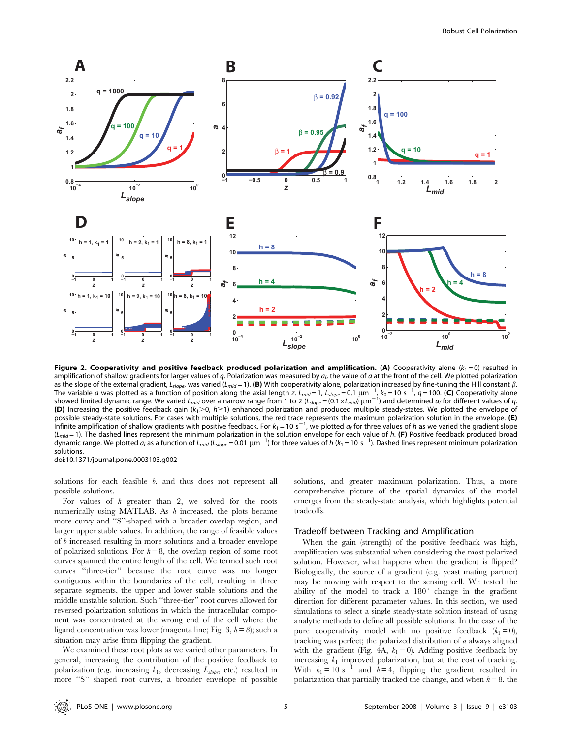

Figure 2. Cooperativity and positive feedback produced polarization and amplification. (A) Cooperativity alone  $(k_1 = 0)$  resulted in amplification of shallow gradients for larger values of q. Polarization was measured by  $a<sub>b</sub>$  the value of a at the front of the cell. We plotted polarization as the slope of the external gradient, L<sub>slope</sub>, was varied (L<sub>mid</sub> = 1). **(B)** With cooperativity alone, polarization increased by fine-tuning the Hill constant β.<br>The variable *a* was plotted as a function of position a **(D)** Increasing the positive feedback gain  $(k_1>0, h\geq 1)$  enhanced polarization and produced multiple steady-states. We plotted the envelope of possible steady-state solutions. For cases with multiple solutions, the red trace represents the maximum polarization solution in the envelope. (E) Infinite amplification of shallow gradients with positive feedback. For  $k_1$  = 10 s $^{-1}$ , we plotted  $a_f$  for three values of h as we varied the gradient slope  $(L_{mid} = 1)$ . The dashed lines represent the minimum polarization in the solution envelope for each value of h. (F) Positive feedback produced broad dynamic range. We plotted  $a_f$  as a function of  $L_{mid}$  ( $L_{slope}$  = 0.01  $\mu$ m<sup>-1</sup>) for three values of h ( $k_1$  = 10 s<sup>-1</sup>). Dashed lines represent minimum polarization solutions.

doi:10.1371/journal.pone.0003103.g002

solutions for each feasible  $b$ , and thus does not represent all possible solutions.

For values of  $h$  greater than 2, we solved for the roots numerically using MATLAB. As h increased, the plots became more curvy and ''S''-shaped with a broader overlap region, and larger upper stable values. In addition, the range of feasible values of b increased resulting in more solutions and a broader envelope of polarized solutions. For  $h=8$ , the overlap region of some root curves spanned the entire length of the cell. We termed such root curves ''three-tier'' because the root curve was no longer contiguous within the boundaries of the cell, resulting in three separate segments, the upper and lower stable solutions and the middle unstable solution. Such ''three-tier'' root curves allowed for reversed polarization solutions in which the intracellular component was concentrated at the wrong end of the cell where the ligand concentration was lower (magenta line; Fig. 3,  $h = 8$ ); such a situation may arise from flipping the gradient.

We examined these root plots as we varied other parameters. In general, increasing the contribution of the positive feedback to polarization (e.g. increasing  $k_1$ , decreasing  $L_{slope}$ , etc.) resulted in more ''S'' shaped root curves, a broader envelope of possible

solutions, and greater maximum polarization. Thus, a more comprehensive picture of the spatial dynamics of the model emerges from the steady-state analysis, which highlights potential tradeoffs.

#### Tradeoff between Tracking and Amplification

When the gain (strength) of the positive feedback was high, amplification was substantial when considering the most polarized solution. However, what happens when the gradient is flipped? Biologically, the source of a gradient (e.g. yeast mating partner) may be moving with respect to the sensing cell. We tested the ability of the model to track a  $180^\circ$  change in the gradient direction for different parameter values. In this section, we used simulations to select a single steady-state solution instead of using analytic methods to define all possible solutions. In the case of the pure cooperativity model with no positive feedback  $(k_1 = 0)$ , tracking was perfect; the polarized distribution of a always aligned with the gradient (Fig. 4A,  $k_1 = 0$ ). Adding positive feedback by increasing  $k_1$  improved polarization, but at the cost of tracking. With  $k_1 = 10 s^{-1}$  and  $h = 4$ , flipping the gradient resulted in polarization that partially tracked the change, and when  $h = 8$ , the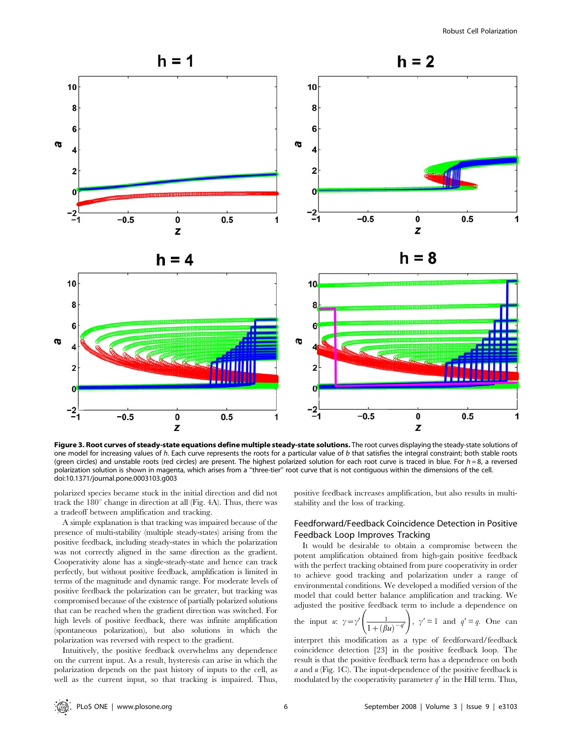

Figure 3. Root curves of steady-state equations define multiple steady-state solutions. The root curves displaying the steady-state solutions of one model for increasing values of h. Each curve represents the roots for a particular value of b that satisfies the integral constraint; both stable roots (green circles) and unstable roots (red circles) are present. The highest polarized solution for each root curve is traced in blue. For  $h = 8$ , a reversed polarization solution is shown in magenta, which arises from a ''three-tier'' root curve that is not contiguous within the dimensions of the cell. doi:10.1371/journal.pone.0003103.g003

polarized species became stuck in the initial direction and did not track the  $180^\circ$  change in direction at all (Fig. 4A). Thus, there was a tradeoff between amplification and tracking.

A simple explanation is that tracking was impaired because of the presence of multi-stability (multiple steady-states) arising from the positive feedback, including steady-states in which the polarization was not correctly aligned in the same direction as the gradient. Cooperativity alone has a single-steady-state and hence can track perfectly, but without positive feedback, amplification is limited in terms of the magnitude and dynamic range. For moderate levels of positive feedback the polarization can be greater, but tracking was compromised because of the existence of partially polarized solutions that can be reached when the gradient direction was switched. For high levels of positive feedback, there was infinite amplification (spontaneous polarization), but also solutions in which the polarization was reversed with respect to the gradient.

Intuitively, the positive feedback overwhelms any dependence on the current input. As a result, hysteresis can arise in which the polarization depends on the past history of inputs to the cell, as well as the current input, so that tracking is impaired. Thus,

positive feedback increases amplification, but also results in multistability and the loss of tracking.

## Feedforward/Feedback Coincidence Detection in Positive Feedback Loop Improves Tracking

It would be desirable to obtain a compromise between the potent amplification obtained from high-gain positive feedback with the perfect tracking obtained from pure cooperativity in order to achieve good tracking and polarization under a range of environmental conditions. We developed a modified version of the model that could better balance amplification and tracking. We adjusted the positive feedback term to include a dependence on the input u:  $\gamma = \gamma' \left( \frac{1}{1 + (\beta u)^{-q}} \right)$ ,  $\gamma' = 1$  and  $q' = q$ . One can interpret this modification as a type of feedforward/feedback

coincidence detection [23] in the positive feedback loop. The result is that the positive feedback term has a dependence on both  $a$  and  $u$  (Fig. 1C). The input-dependence of the positive feedback is modulated by the cooperativity parameter  $q'$  in the Hill term. Thus,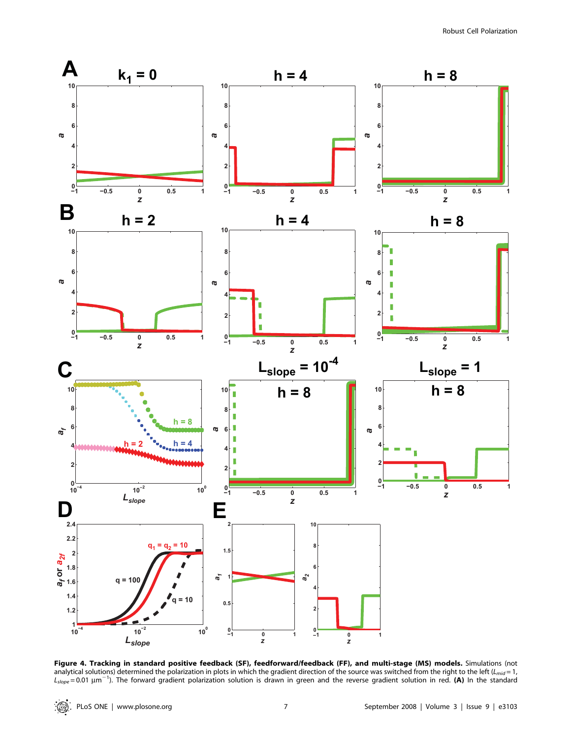

Figure 4. Tracking in standard positive feedback (SF), feedforward/feedback (FF), and multi-stage (MS) models. Simulations (not analytical solutions) determined the polarization in plots in which the gradient direction of the source was switched from the right to the left ( $L_{mid}$  = 1,  $L_{slope} = 0.01 \mu m^{-1}$ ). The forward gradient polarization solution is drawn in green and the reverse gradient solution in red. (A) In the standard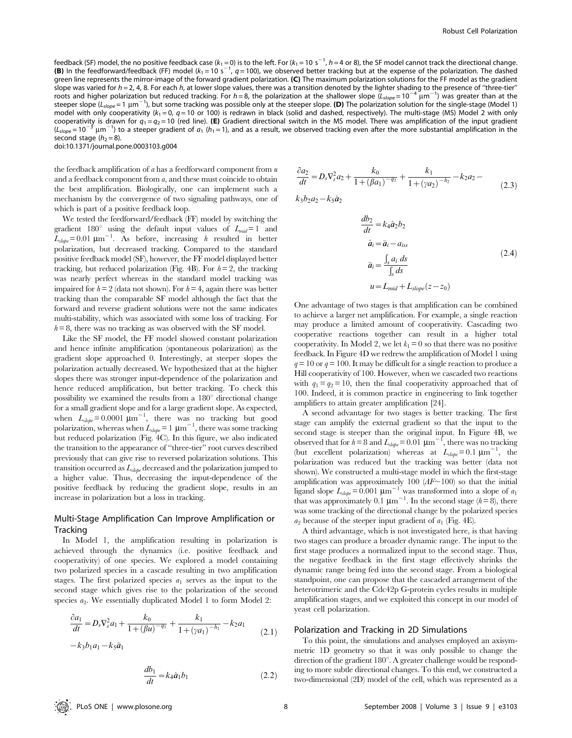feedback (SF) model, the no positive feedback case ( $k_1$  = 0) is to the left. For ( $k_1$  = 10 s<sup>-1</sup>, *h* = 4 or 8), the SF model cannot track the directional change.<br>(B) In the feedforward/feedback (FF) model ( $k_1$  = 10 green line represents the mirror-image of the forward gradient polarization. (C) The maximum polarization solutions for the FF model as the gradient slope was varied for  $h = 2$ , 4, 8. For each  $h$ , at lower slope values, there was a transition denoted by the lighter shading to the presence of "three-tier" roots and higher polarization but reduced tracking. For  $h=8$ , the polarization at the shallower slope  $(L_{slope}=10^{-4} \mu m^{-1})$  was greater than at the steeper slope (L<sub>slope</sub> = 1  $\mu$ m<sup>-1</sup>), but some tracking was possible only at the steeper slope. (D) The polarization solution for the single-stage (Model 1) model with only cooperativity ( $k_1 = 0$ ,  $q = 10$  or 100) is redrawn in black (solid and dashed, respectively). The multi-stage (MS) Model 2 with only cooperativity is drawn for  $q_1 = q_2 = 10$  (red line). (E) Gradient directional switch in the MS model. There was amplification of the input gradient  $(L_{slope}=10^{-3} \mu m^{-1})$  to a steeper gradient of  $a_1$  (h<sub>1</sub> = 1), and as a result, we observed tracking even after the more substantial amplification in the second stage ( $h_2 = 8$ ).

doi:10.1371/journal.pone.0003103.g004

the feedback amplification of  $a$  has a feedforward component from  $u$ and a feedback component from a, and these must coincide to obtain the best amplification. Biologically, one can implement such a mechanism by the convergence of two signaling pathways, one of which is part of a positive feedback loop.

We tested the feedforward/feedback (FF) model by switching the gradient 180° using the default input values of  $L_{mid}=1$  and  $L_{slope} = 0.01 \text{ }\mu\text{m}^{-1}$ . As before, increasing h resulted in better polarization, but decreased tracking. Compared to the standard positive feedback model (SF), however, the FF model displayed better tracking, but reduced polarization (Fig. 4B). For  $h = 2$ , the tracking was nearly perfect whereas in the standard model tracking was impaired for  $h = 2$  (data not shown). For  $h = 4$ , again there was better tracking than the comparable SF model although the fact that the forward and reverse gradient solutions were not the same indicates multi-stability, which was associated with some loss of tracking. For  $h=8$ , there was no tracking as was observed with the SF model.

Like the SF model, the FF model showed constant polarization and hence infinite amplification (spontaneous polarization) as the gradient slope approached 0. Interestingly, at steeper slopes the polarization actually decreased. We hypothesized that at the higher slopes there was stronger input-dependence of the polarization and hence reduced amplification, but better tracking. To check this possibility we examined the results from a  $180^{\circ}$  directional change for a small gradient slope and for a large gradient slope. As expected, when  $L_{\text{slope}} = 0.0001 \text{ }\mu\text{m}^{-1}$ , there was no tracking but good polarization, whereas when  $L_{slope} = 1 \ \mu m^{-1}$ , there was some tracking but reduced polarization (Fig. 4C). In this figure, we also indicated the transition to the appearance of ''three-tier'' root curves described previously that can give rise to reversed polarization solutions. This transition occurred as  $L_{slope}$  decreased and the polarization jumped to a higher value. Thus, decreasing the input-dependence of the positive feedback by reducing the gradient slope, results in an increase in polarization but a loss in tracking.

## Multi-Stage Amplification Can Improve Amplification or **Tracking**

In Model 1, the amplification resulting in polarization is achieved through the dynamics (i.e. positive feedback and cooperativity) of one species. We explored a model containing two polarized species in a cascade resulting in two amplification stages. The first polarized species  $a_1$  serves as the input to the second stage which gives rise to the polarization of the second species  $a_2$ . We essentially duplicated Model 1 to form Model 2:

$$
\frac{\partial a_1}{\partial t} = D_s \nabla_s^2 a_1 + \frac{k_0}{1 + (\beta u)^{-q_1}} + \frac{k_1}{1 + (\gamma a_1)^{-h_1}} - k_2 a_1 \tag{2.1}
$$

$$
-k_3b_1a_1-k_5\hat{a}_1
$$

$$
\frac{db_1}{dt} = k_4 \hat{a}_1 b_1 \tag{2.2}
$$

$$
\frac{\partial a_2}{\partial t} = D_s \nabla_s^2 a_2 + \frac{k_0}{1 + (\beta a_1)^{-q_2}} + \frac{k_1}{1 + (\gamma a_2)^{-h_2}} - k_2 a_2 - \tag{2.3}
$$

 $k_3b_2a_2-k_5\hat{a}_2$ 

$$
\frac{db_2}{dt} = k_4 \hat{a}_2 b_2
$$
  
\n
$$
\hat{a}_i = \bar{a}_i - a_{iss}
$$
  
\n
$$
\bar{a}_i = \frac{\int_s a_i \, ds}{\int_s ds}
$$
  
\n
$$
u = L_{mid} + L_{slope}(z - z_0)
$$
\n(2.4)

One advantage of two stages is that amplification can be combined to achieve a larger net amplification. For example, a single reaction may produce a limited amount of cooperativity. Cascading two cooperative reactions together can result in a higher total cooperativity. In Model 2, we let  $k_1 = 0$  so that there was no positive feedback. In Figure 4D we redrew the amplification of Model 1 using  $q=10$  or  $q=100$ . It may be difficult for a single reaction to produce a Hill cooperativity of 100. However, when we cascaded two reactions with  $q_1 = q_2 = 10$ , then the final cooperativity approached that of 100. Indeed, it is common practice in engineering to link together amplifiers to attain greater amplification [24].

A second advantage for two stages is better tracking. The first stage can amplify the external gradient so that the input to the second stage is steeper than the original input. In Figure 4B, we observed that for  $h = 8$  and  $L_{slope} = 0.01 \ \mu m^{-1}$ , there was no tracking (but excellent polarization) whereas at  $L_{slope} = 0.1 \mu m^{-1}$ , the polarization was reduced but the tracking was better (data not shown). We constructed a multi-stage model in which the first-stage amplification was approximately 100  $AF \sim 100$ ) so that the initial ligand slope  $L_{slope} = 0.001 \mu m^{-1}$  was transformed into a slope of  $a_1$ that was approximately 0.1  $\mu$ m<sup>-1</sup>. In the second stage (h=8), there was some tracking of the directional change by the polarized species  $a_2$  because of the steeper input gradient of  $a_1$  (Fig. 4E).

A third advantage, which is not investigated here, is that having two stages can produce a broader dynamic range. The input to the first stage produces a normalized input to the second stage. Thus, the negative feedback in the first stage effectively shrinks the dynamic range being fed into the second stage. From a biological standpoint, one can propose that the cascaded arrangement of the heterotrimeric and the Cdc42p G-protein cycles results in multiple amplification stages, and we exploited this concept in our model of yeast cell polarization.

## Polarization and Tracking in 2D Simulations

To this point, the simulations and analyses employed an axisymmetric 1D geometry so that it was only possible to change the direction of the gradient  $180^\circ$ . A greater challenge would be responding to more subtle directional changes. To this end, we constructed a two-dimensional (2D) model of the cell, which was represented as a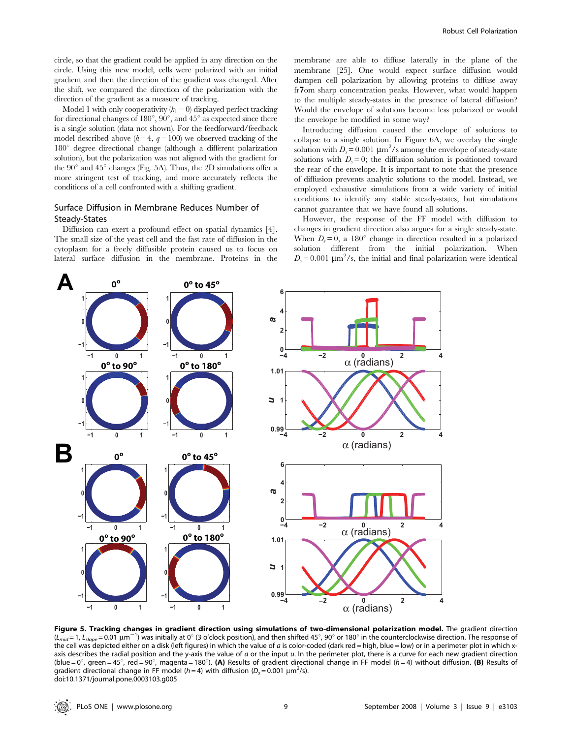circle, so that the gradient could be applied in any direction on the circle. Using this new model, cells were polarized with an initial gradient and then the direction of the gradient was changed. After the shift, we compared the direction of the polarization with the direction of the gradient as a measure of tracking.

Model 1 with only cooperativity  $(k_1 = 0)$  displayed perfect tracking for directional changes of  $180^\circ$ ,  $90^\circ$ , and  $45^\circ$  as expected since there is a single solution (data not shown). For the feedforward/feedback model described above  $(h=4, q=100)$  we observed tracking of the  $180^\circ$  degree directional change (although a different polarization solution), but the polarization was not aligned with the gradient for the  $90^{\circ}$  and  $45^{\circ}$  changes (Fig. 5A). Thus, the 2D simulations offer a more stringent test of tracking, and more accurately reflects the conditions of a cell confronted with a shifting gradient.

## Surface Diffusion in Membrane Reduces Number of Steady-States

Diffusion can exert a profound effect on spatial dynamics [4]. The small size of the yeast cell and the fast rate of diffusion in the cytoplasm for a freely diffusible protein caused us to focus on lateral surface diffusion in the membrane. Proteins in the

membrane are able to diffuse laterally in the plane of the membrane [25]. One would expect surface diffusion would dampen cell polarization by allowing proteins to diffuse away fr7om sharp concentration peaks. However, what would happen to the multiple steady-states in the presence of lateral diffusion? Would the envelope of solutions become less polarized or would the envelope be modified in some way?

Introducing diffusion caused the envelope of solutions to collapse to a single solution. In Figure 6A, we overlay the single solution with  $D_s = 0.001 \text{ }\mu\text{m}^2/\text{s}$  among the envelope of steady-state solutions with  $D_s = 0$ ; the diffusion solution is positioned toward the rear of the envelope. It is important to note that the presence of diffusion prevents analytic solutions to the model. Instead, we employed exhaustive simulations from a wide variety of initial conditions to identify any stable steady-states, but simulations cannot guarantee that we have found all solutions.

However, the response of the FF model with diffusion to changes in gradient direction also argues for a single steady-state. When  $D<sub>s</sub> = 0$ , a 180<sup>°</sup> change in direction resulted in a polarized solution different from the initial polarization. When  $D_s = 0.001 \text{ }\mu\text{m}^2/\text{s}$ , the initial and final polarization were identical



Figure 5. Tracking changes in gradient direction using simulations of two-dimensional polarization model. The gradient direction  $(L_{mid} = 1, L_{slope} = 0.01 \ \mu m^{-1})$  was initially at 0° (3 o'clock position), and then shifted 45°, 90° or 180° in the counterclockwise direction. The response of the cell was depicted either on a disk (left figures) in which the value of a is color-coded (dark red = high, blue = low) or in a perimeter plot in which xaxis describes the radial position and the y-axis the value of  $a$  or the input  $u$ . In the perimeter plot, there is a curve for each new gradient direction (blue =  $0^{\circ}$ , green = 45°, red = 90°, magenta = 180°). (A) Results of gradient directional change in FF model (h = 4) without diffusion. (B) Results of gradient directional change in FF model (h = 4) with diffusion ( $D_s = 0.001 \ \mu m^2/s$ ). doi:10.1371/journal.pone.0003103.g005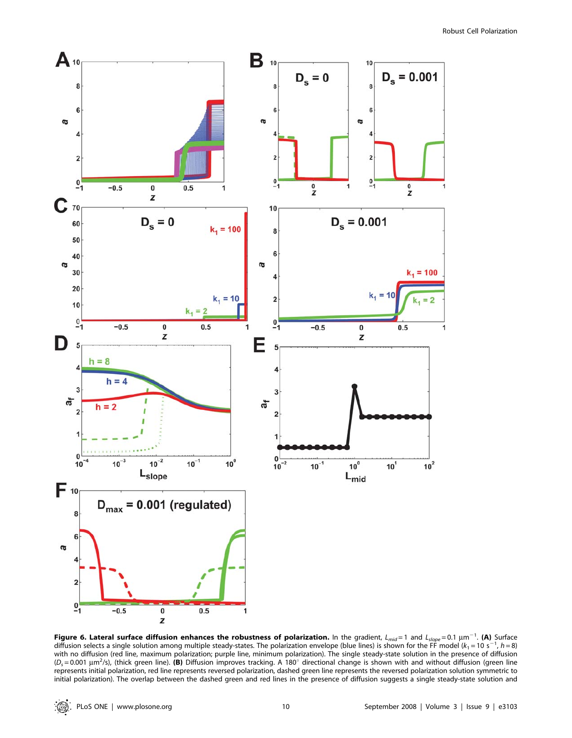

**Figure 6. Lateral surface diffusion enhances the robustness of polarization.** In the gradient,  $L_{mid} = 1$  and  $L_{slope} = 0.1 \mu m^{-1}$ . (A) Surface diffusion envelope (blue lines) is shown for the FF model (k<sub>1</sub> = 10 s<sup>-1</sup>, h = with no diffusion (red line, maximum polarization; purple line, minimum polarization). The single steady-state solution in the presence of diffusion  $(D_s = 0.001 \mu m^2/s)$ , (thick green line). (B) Diffusion improves tracking. A 180° directional change is shown with and without diffusion (green line represents initial polarization, red line represents reversed polarization, dashed green line represents the reversed polarization solution symmetric to initial polarization). The overlap between the dashed green and red lines in the presence of diffusion suggests a single steady-state solution and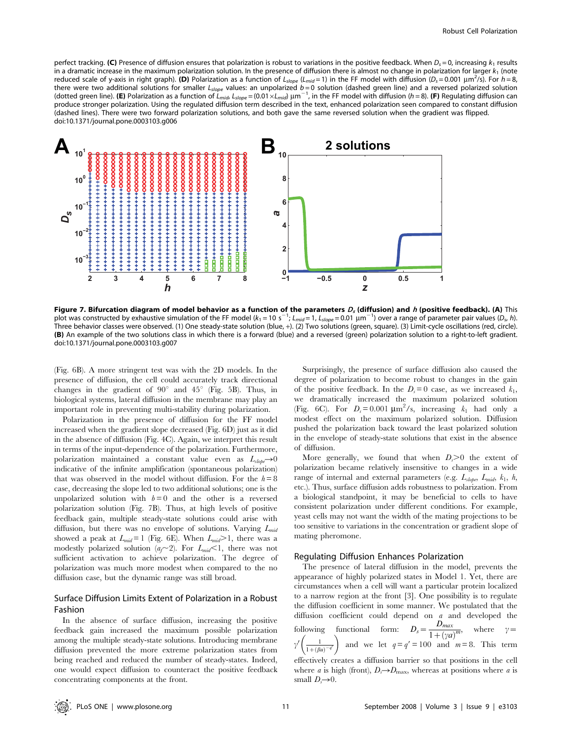perfect tracking. (C) Presence of diffusion ensures that polarization is robust to variations in the positive feedback. When  $D_s = 0$ , increasing  $k_1$  results in a dramatic increase in the maximum polarization solution. In the presence of diffusion there is almost no change in polarization for larger  $k_1$  (note reduced scale of y-axis in right graph). (D) Polarization as a function of  $L_{slope}$  ( $L_{mid}$ =1) in the FF model with diffusion (D<sub>s</sub> = 0.001  $\mu$ m<sup>2</sup>/s). For h = 8, there were two additional solutions for smaller  $L_{slope}$  values: an unpolarized  $b$ =0 solution (dashed green line) and a reversed polarized solution<br>(dotted green line). **(E)** Polarization as a function of L<sub>mid</sub>, L<sub>slope</sub>= produce stronger polarization. Using the regulated diffusion term described in the text, enhanced polarization seen compared to constant diffusion (dashed lines). There were two forward polarization solutions, and both gave the same reversed solution when the gradient was flipped. doi:10.1371/journal.pone.0003103.g006



Figure 7. Bifurcation diagram of model behavior as a function of the parameters  $D_s$  (diffusion) and h (positive feedback). (A) This plot was constructed by exhaustive simulation of the FF model ( $k_1$  = 10 s<sup>-1</sup>; L<sub>mid</sub> = 1, L<sub>slope</sub> = 0.01  $\mu$ m<sup>-1</sup>) over a range of parameter pair values (D<sub>s</sub>, h). Three behavior classes were observed. (1) One steady-state solution (blue, +). (2) Two solutions (green, square). (3) Limit-cycle oscillations (red, circle). (B) An example of the two solutions class in which there is a forward (blue) and a reversed (green) polarization solution to a right-to-left gradient. doi:10.1371/journal.pone.0003103.g007

(Fig. 6B). A more stringent test was with the 2D models. In the presence of diffusion, the cell could accurately track directional changes in the gradient of  $90^{\circ}$  and  $45^{\circ}$  (Fig. 5B). Thus, in biological systems, lateral diffusion in the membrane may play an important role in preventing multi-stability during polarization.

Polarization in the presence of diffusion for the FF model increased when the gradient slope decreased (Fig. 6D) just as it did in the absence of diffusion (Fig. 4C). Again, we interpret this result in terms of the input-dependence of the polarization. Furthermore, polarization maintained a constant value even as  $L_{slope}\rightarrow 0$ indicative of the infinite amplification (spontaneous polarization) that was observed in the model without diffusion. For the  $h=8$ case, decreasing the slope led to two additional solutions; one is the unpolarized solution with  $b=0$  and the other is a reversed polarization solution (Fig. 7B). Thus, at high levels of positive feedback gain, multiple steady-state solutions could arise with diffusion, but there was no envelope of solutions. Varying  $L_{mid}$ showed a peak at  $L_{mid} = 1$  (Fig. 6E). When  $L_{mid} > 1$ , there was a modestly polarized solution  $(a_f \sim 2)$ . For  $L_{mid} < 1$ , there was not sufficient activation to achieve polarization. The degree of polarization was much more modest when compared to the no diffusion case, but the dynamic range was still broad.

## Surface Diffusion Limits Extent of Polarization in a Robust Fashion

In the absence of surface diffusion, increasing the positive feedback gain increased the maximum possible polarization among the multiple steady-state solutions. Introducing membrane diffusion prevented the more extreme polarization states from being reached and reduced the number of steady-states. Indeed, one would expect diffusion to counteract the positive feedback concentrating components at the front.

Surprisingly, the presence of surface diffusion also caused the degree of polarization to become robust to changes in the gain of the positive feedback. In the  $D<sub>s</sub>=0$  case, as we increased  $k<sub>1</sub>$ , we dramatically increased the maximum polarized solution (Fig. 6C). For  $D_s = 0.001 \text{ }\mu\text{m}^2/\text{s}$ , increasing  $k_1$  had only a modest effect on the maximum polarized solution. Diffusion pushed the polarization back toward the least polarized solution in the envelope of steady-state solutions that exist in the absence of diffusion.

More generally, we found that when  $D_s > 0$  the extent of polarization became relatively insensitive to changes in a wide range of internal and external parameters (e.g.  $L_{slope}$ ,  $L_{mid}$ ,  $k_1$ ,  $h$ , etc.). Thus, surface diffusion adds robustness to polarization. From a biological standpoint, it may be beneficial to cells to have consistent polarization under different conditions. For example, yeast cells may not want the width of the mating projections to be too sensitive to variations in the concentration or gradient slope of mating pheromone.

#### Regulating Diffusion Enhances Polarization

The presence of lateral diffusion in the model, prevents the appearance of highly polarized states in Model 1. Yet, there are circumstances when a cell will want a particular protein localized to a narrow region at the front [3]. One possibility is to regulate the diffusion coefficient in some manner. We postulated that the diffusion coefficient could depend on a and developed the following functional form:  $D_s = \frac{D_{max}}{1 + (\gamma a)^m}$ , where  $\gamma =$  $\gamma' \left( \frac{1}{1 + (\beta u)^{-q}} \right)$  $\frac{1}{\sqrt{2}}$ and we let  $q = q' = 100$  and  $m = 8$ . This term effectively creates a diffusion barrier so that positions in the cell where *a* is high (front),  $D_s \rightarrow D_{\text{max}}$ , whereas at positions where *a* is small  $D_s\rightarrow 0$ .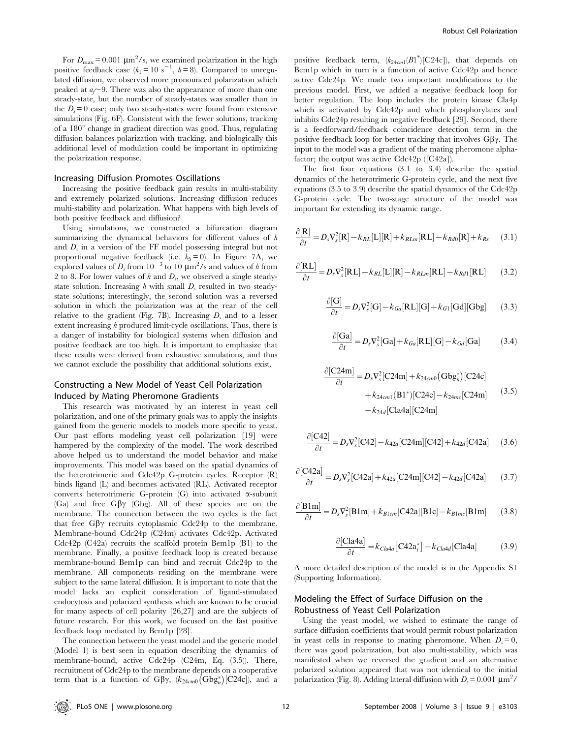For  $D_{\text{max}} = 0.001 \ \mu \text{m}^2/\text{s}$ , we examined polarization in the high positive feedback case  $(k_1 = 10 \text{ s}^{-1}, h=8)$ . Compared to unregulated diffusion, we observed more pronounced polarization which peaked at  $q\sim$ 9. There was also the appearance of more than one steady-state, but the number of steady-states was smaller than in the  $D_s = 0$  case; only two steady-states were found from extensive simulations (Fig. 6F). Consistent with the fewer solutions, tracking of a  $180^\circ$  change in gradient direction was good. Thus, regulating diffusion balances polarization with tracking, and biologically this additional level of modulation could be important in optimizing the polarization response.

#### Increasing Diffusion Promotes Oscillations

Increasing the positive feedback gain results in multi-stability and extremely polarized solutions. Increasing diffusion reduces multi-stability and polarization. What happens with high levels of both positive feedback and diffusion?

Using simulations, we constructed a bifurcation diagram summarizing the dynamical behaviors for different values of h and  $D<sub>s</sub>$  in a version of the FF model possessing integral but not proportional negative feedback (i.e.  $k_5 = 0$ ). In Figure 7A, we explored values of  $D_s$  from  $10^{-3}$  to 10  $\mu$ m<sup>2</sup>/s and values of h from 2 to 8. For lower values of h and  $D<sub>s</sub>$ , we observed a single steadystate solution. Increasing h with small  $D_s$  resulted in two steadystate solutions; interestingly, the second solution was a reversed solution in which the polarization was at the rear of the cell relative to the gradient (Fig. 7B). Increasing  $D_s$  and to a lesser extent increasing h produced limit-cycle oscillations. Thus, there is a danger of instability for biological systems when diffusion and positive feedback are too high. It is important to emphasize that these results were derived from exhaustive simulations, and thus we cannot exclude the possibility that additional solutions exist.

## Constructing a New Model of Yeast Cell Polarization Induced by Mating Pheromone Gradients

This research was motivated by an interest in yeast cell polarization, and one of the primary goals was to apply the insights gained from the generic models to models more specific to yeast. Our past efforts modeling yeast cell polarization [19] were hampered by the complexity of the model. The work described above helped us to understand the model behavior and make improvements. This model was based on the spatial dynamics of the heterotrimeric and Cdc42p G-protein cycles. Receptor (R) binds ligand (L) and becomes activated (RL). Activated receptor converts heterotrimeric G-protein (G) into activated  $\alpha$ -subunit (Ga) and free  $G\beta\gamma$  (Gbg). All of these species are on the membrane. The connection between the two cycles is the fact that free  $G\beta\gamma$  recruits cytoplasmic  $Cdc24p$  to the membrane. Membrane-bound Cdc24p (C24m) activates Cdc42p. Activated Cdc42p (C42a) recruits the scaffold protein Bem1p (B1) to the membrane. Finally, a positive feedback loop is created because membrane-bound Bem1p can bind and recruit Cdc24p to the membrane. All components residing on the membrane were subject to the same lateral diffusion. It is important to note that the model lacks an explicit consideration of ligand-stimulated endocytosis and polarized synthesis which are known to be crucial for many aspects of cell polarity [26,27] and are the subjects of future research. For this work, we focused on the fast positive feedback loop mediated by Bem1p [28].

The connection between the yeast model and the generic model (Model 1) is best seen in equation describing the dynamics of membrane-bound, active Cdc24p (C24m, Eq. (3.5)). There, recruitment of Cdc24p to the membrane depends on a cooperative term that is a function of  $G\beta\gamma$ ,  $(k_{24cm0}(Gbg<sub>n</sub><sup>*</sup>)[C24c])$ , and a

positive feedback term,  $(k_{24cm1}(B1^*)$ [C24c]), that depends on Bem1p which in turn is a function of active Cdc42p and hence active Cdc24p. We made two important modifications to the previous model. First, we added a negative feedback loop for better regulation. The loop includes the protein kinase Cla4p which is activated by Cdc42p and which phosphorylates and inhibits Cdc24p resulting in negative feedback [29]. Second, there is a feedforward/feedback coincidence detection term in the positive feedback loop for better tracking that involves  $G\beta\gamma$ . The input to the model was a gradient of the mating pheromone alphafactor; the output was active Cdc42p ([C42a]).

The first four equations (3.1 to 3.4) describe the spatial dynamics of the heterotrimeric G-protein cycle, and the next five equations (3.5 to 3.9) describe the spatial dynamics of the Cdc42p G-protein cycle. The two-stage structure of the model was important for extending its dynamic range.

$$
\frac{\partial [\mathbf{R}]}{\partial t} = D_s \nabla_s^2 [\mathbf{R}] - k_{RL} [\mathbf{L}] [\mathbf{R}] + k_{RLm} [\mathbf{R} \mathbf{L}] - k_{Rd0} [\mathbf{R}] + k_{Rs} \tag{3.1}
$$

$$
\frac{\partial[\mathbf{R} \mathbf{L}]}{\partial t} = D_s \nabla_s^2[\mathbf{R} \mathbf{L}] + k_{RL}[\mathbf{L}][\mathbf{R}] - k_{RLm}[\mathbf{R} \mathbf{L}] - k_{Rd1}[\mathbf{R} \mathbf{L}] \tag{3.2}
$$

$$
\frac{\partial[\mathbf{G}]}{\partial t} = D_s \nabla_s^2[\mathbf{G}] - k_{Ga}[\mathbf{R} \mathbf{L}][\mathbf{G}] + k_{G1}[\mathbf{Gd}][\mathbf{Gbg}] \tag{3.3}
$$

$$
\frac{\partial[\text{Ga}]}{\partial t} = D_s \nabla_s^2[\text{Ga}] + k_{Ga}[\text{RL}][\text{G}] - k_{Gd}[\text{Ga}] \tag{3.4}
$$

$$
\frac{\partial [C24m]}{\partial t} = D_s \nabla_s^2 [C24m] + k_{24cm0} (Gbg_n^*) [C24c] \n+ k_{24cm1} (B1^*) [C24c] - k_{24mc} [C24m] \n- k_{24d} [Cla4a][C24m]
$$
\n(3.5)

$$
\frac{\partial [C42]}{\partial t} = D_s \nabla_s^2 [C42] - k_{42a} [C24m][C42] + k_{42d} [C42a] \tag{3.6}
$$

$$
\frac{\partial [C42a]}{\partial t} = D_s \nabla_s^2 [C42a] + k_{42a} [C24m][C42] - k_{42d} [C42a] \tag{3.7}
$$

$$
\frac{\partial[\mathbf{B1m}]}{\partial t} = D_s \nabla_s^2[\mathbf{B1m}] + k_{\text{Bl}cm}[\text{C42a}][\text{B1c}] - k_{\text{Bl}mc}[\text{B1m}] \tag{3.8}
$$

$$
\frac{\partial [\text{Cla4a}]}{\partial t} = k_{Cla4a} [\text{C42a}^*_{t}] - k_{Cla4d} [\text{Cla4a}] \tag{3.9}
$$

A more detailed description of the model is in the Appendix S1 (Supporting Information).

## Modeling the Effect of Surface Diffusion on the Robustness of Yeast Cell Polarization

Using the yeast model, we wished to estimate the range of surface diffusion coefficients that would permit robust polarization in yeast cells in response to mating pheromone. When  $D_s = 0$ , there was good polarization, but also multi-stability, which was manifested when we reversed the gradient and an alternative polarized solution appeared that was not identical to the initial polarization (Fig. 8). Adding lateral diffusion with  $D_s = 0.001 \text{ }\mu\text{m}^2/\text{s}$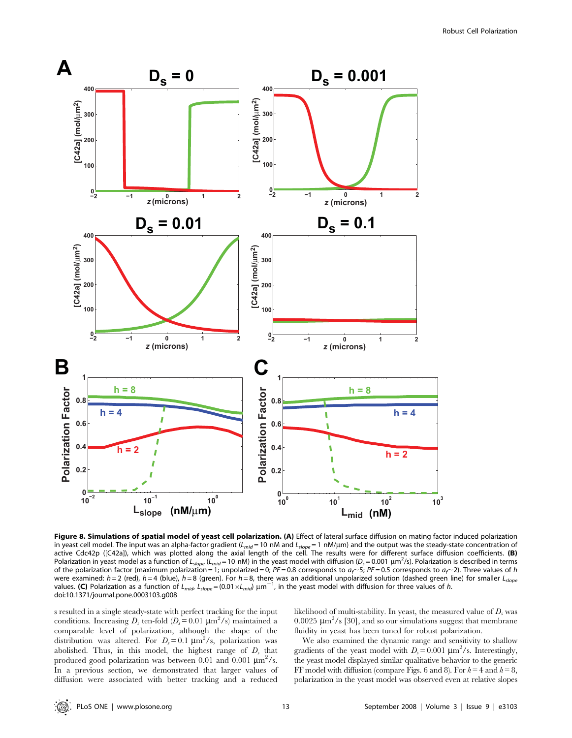

Figure 8. Simulations of spatial model of yeast cell polarization. (A) Effect of lateral surface diffusion on mating factor induced polarization in yeast cell model. The input was an alpha-factor gradient ( $L_{mid}$  = 10 nM and  $L_{slope}$  = 1 nM/µm) and the output was the steady-state concentration of active Cdc42p ([C42a]), which was plotted along the axial length of the cell. The results were for different surface diffusion coefficients. (B) Polarization in yeast model as a function of  $L_{slope}$  ( $\bar{L}_{mid}$  = 10 nM) in the yeast model with diffusion ( $D_s$  = 0.001  $\mu$ m<sup>2</sup>/s). Polarization is described in terms of the polarization factor (maximum polarization = 1; unpolarized = 0; PF = 0.8 corresponds to  $a_f$  = 0.5 corresponds to  $a_f$  = 2). Three values of h were examined:  $h = 2$  (red),  $h = 4$  (blue),  $h = 8$  (green). For  $h = 8$ , there was an additional unpolarized solution (dashed green line) for smaller  $L_{slope}$ values. (C) Polarization as a function of  $L_{mid}$   $L_{slope}$  = (0.01 $\times L_{mid}$ )  $\mu$ m<sup>-1</sup>, in the yeast model with diffusion for three values of h. doi:10.1371/journal.pone.0003103.g008

s resulted in a single steady-state with perfect tracking for the input conditions. Increasing  $D_s$  ten-fold  $(D_s = 0.01 \text{ }\mu\text{m}^2/\text{s})$  maintained a comparable level of polarization, although the shape of the distribution was altered. For  $D_s = 0.1 \text{ }\mu\text{m}^2/\text{s}$ , polarization was abolished. Thus, in this model, the highest range of  $D<sub>s</sub>$  that produced good polarization was between 0.01 and 0.001  $\mu$ m<sup>2</sup>/s. In a previous section, we demonstrated that larger values of diffusion were associated with better tracking and a reduced likelihood of multi-stability. In yeast, the measured value of  $D<sub>s</sub>$  was 0.0025  $\mu$ m<sup>2</sup>/s [30], and so our simulations suggest that membrane fluidity in yeast has been tuned for robust polarization.

We also examined the dynamic range and sensitivity to shallow gradients of the yeast model with  $D_s = 0.001 \text{ }\mu\text{m}^2/\text{s}$ . Interestingly, the yeast model displayed similar qualitative behavior to the generic FF model with diffusion (compare Figs. 6 and 8). For  $h = 4$  and  $h = 8$ , polarization in the yeast model was observed even at relative slopes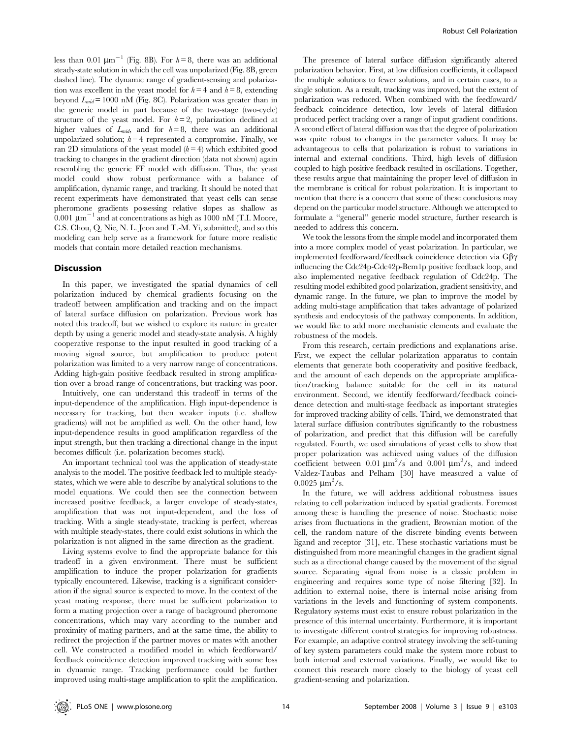less than 0.01  $\mu$ m<sup>-1</sup> (Fig. 8B). For  $h=8$ , there was an additional steady-state solution in which the cell was unpolarized (Fig. 8B, green dashed line). The dynamic range of gradient-sensing and polarization was excellent in the yeast model for  $h = 4$  and  $h = 8$ , extending beyond  $L_{mid}$  = 1000 nM (Fig. 8C). Polarization was greater than in the generic model in part because of the two-stage (two-cycle) structure of the yeast model. For  $h=2$ , polarization declined at higher values of  $L_{mid}$ , and for  $h=8$ , there was an additional unpolarized solution;  $h = 4$  represented a compromise. Finally, we ran 2D simulations of the yeast model  $(h=4)$  which exhibited good tracking to changes in the gradient direction (data not shown) again resembling the generic FF model with diffusion. Thus, the yeast model could show robust performance with a balance of amplification, dynamic range, and tracking. It should be noted that recent experiments have demonstrated that yeast cells can sense pheromone gradients possessing relative slopes as shallow as 0.001  $\mu$ m<sup>-1</sup> and at concentrations as high as 1000 nM (T.I. Moore, C.S. Chou, Q. Nie, N. L. Jeon and T.-M. Yi, submitted), and so this modeling can help serve as a framework for future more realistic models that contain more detailed reaction mechanisms.

## Discussion

In this paper, we investigated the spatial dynamics of cell polarization induced by chemical gradients focusing on the tradeoff between amplification and tracking and on the impact of lateral surface diffusion on polarization. Previous work has noted this tradeoff, but we wished to explore its nature in greater depth by using a generic model and steady-state analysis. A highly cooperative response to the input resulted in good tracking of a moving signal source, but amplification to produce potent polarization was limited to a very narrow range of concentrations. Adding high-gain positive feedback resulted in strong amplification over a broad range of concentrations, but tracking was poor.

Intuitively, one can understand this tradeoff in terms of the input-dependence of the amplification. High input-dependence is necessary for tracking, but then weaker inputs (i.e. shallow gradients) will not be amplified as well. On the other hand, low input-dependence results in good amplification regardless of the input strength, but then tracking a directional change in the input becomes difficult (i.e. polarization becomes stuck).

An important technical tool was the application of steady-state analysis to the model. The positive feedback led to multiple steadystates, which we were able to describe by analytical solutions to the model equations. We could then see the connection between increased positive feedback, a larger envelope of steady-states, amplification that was not input-dependent, and the loss of tracking. With a single steady-state, tracking is perfect, whereas with multiple steady-states, there could exist solutions in which the polarization is not aligned in the same direction as the gradient.

Living systems evolve to find the appropriate balance for this tradeoff in a given environment. There must be sufficient amplification to induce the proper polarization for gradients typically encountered. Likewise, tracking is a significant consideration if the signal source is expected to move. In the context of the yeast mating response, there must be sufficient polarization to form a mating projection over a range of background pheromone concentrations, which may vary according to the number and proximity of mating partners, and at the same time, the ability to redirect the projection if the partner moves or mates with another cell. We constructed a modified model in which feedforward/ feedback coincidence detection improved tracking with some loss in dynamic range. Tracking performance could be further improved using multi-stage amplification to split the amplification.

The presence of lateral surface diffusion significantly altered polarization behavior. First, at low diffusion coefficients, it collapsed the multiple solutions to fewer solutions, and in certain cases, to a single solution. As a result, tracking was improved, but the extent of polarization was reduced. When combined with the feedfoward/ feedback coincidence detection, low levels of lateral diffusion produced perfect tracking over a range of input gradient conditions. A second effect of lateral diffusion was that the degree of polarization was quite robust to changes in the parameter values. It may be advantageous to cells that polarization is robust to variations in internal and external conditions. Third, high levels of diffusion coupled to high positive feedback resulted in oscillations. Together, these results argue that maintaining the proper level of diffusion in the membrane is critical for robust polarization. It is important to mention that there is a concern that some of these conclusions may depend on the particular model structure. Although we attempted to formulate a ''general'' generic model structure, further research is needed to address this concern.

We took the lessons from the simple model and incorporated them into a more complex model of yeast polarization. In particular, we implemented feedforward/feedback coincidence detection via  $G\beta\gamma$ influencing the Cdc24p-Cdc42p-Bem1p positive feedback loop, and also implemented negative feedback regulation of Cdc24p. The resulting model exhibited good polarization, gradient sensitivity, and dynamic range. In the future, we plan to improve the model by adding multi-stage amplification that takes advantage of polarized synthesis and endocytosis of the pathway components. In addition, we would like to add more mechanistic elements and evaluate the robustness of the models.

From this research, certain predictions and explanations arise. First, we expect the cellular polarization apparatus to contain elements that generate both cooperativity and positive feedback, and the amount of each depends on the appropriate amplification/tracking balance suitable for the cell in its natural environment. Second, we identify feedforward/feedback coincidence detection and multi-stage feedback as important strategies for improved tracking ability of cells. Third, we demonstrated that lateral surface diffusion contributes significantly to the robustness of polarization, and predict that this diffusion will be carefully regulated. Fourth, we used simulations of yeast cells to show that proper polarization was achieved using values of the diffusion coefficient between 0.01  $\mu$ m<sup>2</sup>/s and 0.001  $\mu$ m<sup>2</sup>/s, and indeed Valdez-Taubas and Pelham [30] have measured a value of  $0.0025 \ \mu m^2/s$ .

In the future, we will address additional robustness issues relating to cell polarization induced by spatial gradients. Foremost among these is handling the presence of noise. Stochastic noise arises from fluctuations in the gradient, Brownian motion of the cell, the random nature of the discrete binding events between ligand and receptor [31], etc. These stochastic variations must be distinguished from more meaningful changes in the gradient signal such as a directional change caused by the movement of the signal source. Separating signal from noise is a classic problem in engineering and requires some type of noise filtering [32]. In addition to external noise, there is internal noise arising from variations in the levels and functioning of system components. Regulatory systems must exist to ensure robust polarization in the presence of this internal uncertainty. Furthermore, it is important to investigate different control strategies for improving robustness. For example, an adaptive control strategy involving the self-tuning of key system parameters could make the system more robust to both internal and external variations. Finally, we would like to connect this research more closely to the biology of yeast cell gradient-sensing and polarization.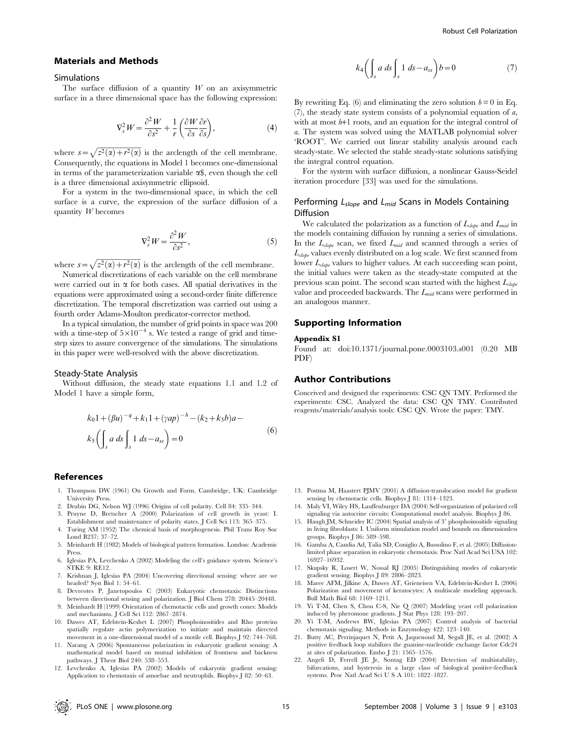#### Materials and Methods

#### Simulations

The surface diffusion of a quantity  $W$  on an axisymmetric surface in a three dimensional space has the following expression:

$$
\nabla_s^2 W = \frac{\partial^2 W}{\partial s^2} + \frac{1}{r} \left( \frac{\partial W}{\partial s} \frac{\partial r}{\partial s} \right),\tag{4}
$$

where  $s = \sqrt{z^2(\alpha) + r^2(\alpha)}$  is the arclength of the cell membrane. Consequently, the equations in Model 1 becomes one-dimensional in terms of the parameterization variable  $\alpha$ \$, even though the cell is a three dimensional axisymmetric ellipsoid.

For a system in the two-dimensional space, in which the cell surface is a curve, the expression of the surface diffusion of a quantity W becomes

$$
\nabla_s^2 W = \frac{\partial^2 W}{\partial s^2},\tag{5}
$$

where  $s = \sqrt{z^2(\alpha) + r^2(\alpha)}$  is the arclength of the cell membrane.

Numerical discretizations of each variable on the cell membrane were carried out in  $\alpha$  for both cases. All spatial derivatives in the equations were approximated using a second-order finite difference discretization. The temporal discretization was carried out using a fourth order Adams-Moulton predicator-corrector method.

In a typical simulation, the number of grid points in space was 200 with a time-step of  $5\times10^{-4}$  s. We tested a range of grid and timestep sizes to assure convergence of the simulations. The simulations in this paper were well-resolved with the above discretization.

#### Steady-State Analysis

Without diffusion, the steady state equations 1.1 and 1.2 of Model 1 have a simple form,

$$
k_0 1 + (\beta u)^{-q} + k_1 1 + (\gamma ap)^{-h} - (k_2 + k_3 b)a -
$$
  

$$
k_5 \left( \int_s a \, ds \int_s 1 \, ds - a_{ss} \right) = 0
$$
 (6)

#### References

- 1. Thompson DW (1961) On Growth and Form. Cambridge, UK: Cambridge University Press.
- 2. Drubin DG, Nelson WJ (1996) Origins of cell polarity. Cell 84: 335–344.
- 3. Pruyne D, Bretscher A (2000) Polarization of cell growth in yeast: I. Establishment and maintenance of polarity states. J Cell Sci 113: 365–375.
- 4. Turing AM (1952) The chemical basis of morphogenesis. Phil Trans Roy Soc Lond B237: 37–72.
- 5. Meinhardt H (1982) Models of biological pattern formation. London: Academic Press.
- 6. Iglesias PA, Levchenko A (2002) Modeling the cell's guidance system. Science's STKE 9: RE12.
- 7. Krishnan J, Iglesias PA (2004) Uncovering directional sensing: where are we headed? Syst Biol 1: 54–61.
- 8. Devreotes P, Janetopoulos C (2003) Eukaryotic chemotaxis: Distinctions between directional sensing and polarization. J Biol Chem 278: 20445–20448.
- 9. Meinhardt H (1999) Orientation of chemotactic cells and growth cones: Models and mechanisms. J Cell Sci 112: 2867–2874.
- 10. Dawes AT, Edelstein-Keshet L (2007) Phosphoinositides and Rho proteins spatially regulate actin polymerization to initiate and maintain directed movement in a one-dimensional model of a motile cell. Biophys J 92: 744–768.
- 11. Narang A (2006) Spontaneous polarization in eukaryotic gradient sensing: A mathematical model based on mutual inhibition of frontness and backness pathways. J Theor Biol 240: 538–553.
- 12. Levchenko A, Iglesias PA (2002) Models of eukaryotic gradient sensing: Application to chemotaxis of amoebae and neutrophils. Biophys J 82: 50–63.

$$
k_4 \left( \int_s a \, ds \int_s 1 \, ds - a_{ss} \right) b = 0 \tag{7}
$$

By rewriting Eq. (6) and eliminating the zero solution  $b=0$  in Eq.  $(7)$ , the steady state system consists of a polynomial equation of a, with at most  $h+1$  roots, and an equation for the integral control of a. The system was solved using the MATLAB polynomial solver 'ROOT'. We carried out linear stability analysis around each steady-state. We selected the stable steady-state solutions satisfying the integral control equation.

For the system with surface diffusion, a nonlinear Gauss-Seidel iteration procedure [33] was used for the simulations.

## Performing  $L_{slope}$  and  $L_{mid}$  Scans in Models Containing Diffusion

We calculated the polarization as a function of  $L_{\text{slope}}$  and  $L_{\text{mid}}$  in the models containing diffusion by running a series of simulations. In the  $L_{slope}$  scan, we fixed  $L_{mid}$  and scanned through a series of  $L_{slope}$  values evenly distributed on a log scale. We first scanned from lower  $L_{\text{slope}}$  values to higher values. At each succeeding scan point, the initial values were taken as the steady-state computed at the previous scan point. The second scan started with the highest  $L_{\text{slope}}$ value and proceeded backwards. The  $L_{mid}$  scans were performed in an analogous manner.

#### Supporting Information

#### Appendix S1

Found at: doi:10.1371/journal.pone.0003103.s001 (0.20 MB PDF)

#### Author Contributions

Conceived and designed the experiments: CSC QN TMY. Performed the experiments: CSC. Analyzed the data: CSC QN TMY. Contributed reagents/materials/analysis tools: CSC QN. Wrote the paper: TMY.

- 13. Postma M, Haastert PJMV (2001) A diffusion-translocation model for gradient sensing by chemotactic cells. Biophys J 81: 1314–1323.
- 14. Maly VI, Wiley HS, Lauffenburger DA (2004) Self-organization of polarized cell signaling via autocrine circuits: Computational model analysis. Biophys J 86.
- 15. Haugh JM, Schneider IC (2004) Spatial analysis of 3' phosphoinositide signaling in living fibroblasts: I. Uniform stimulation model and bounds on dimensionless groups. Biophys J 86: 589–598.
- 16. Gamba A, Candia Ad, Talia SD, Coniglio A, Bussolino F, et al. (2005) Diffusionlimited phase separation in eukaryotic chemotaxis. Proc Natl Acad Sci USA 102: 16927–16932.
- 17. Skupsky R, Losert W, Nossal RJ (2005) Distinguishing modes of eukaryotic gradient sensing. Biophys J 89: 2806–2823.
- 18. Maree AFM, Jilkine A, Dawes AT, Grieneisen VA, Edelstein-Keshet L (2006) Polarization and movement of keratocytes: A multiscale modeling approach. Bull Math Biol 68: 1169–1211.
- 19. Yi T-M, Chen S, Chou C-S, Nie Q (2007) Modeling yeast cell polarization induced by pheromone gradients. J Stat Phys 128: 193–207.
- 20. Yi T-M, Andrews BW, Iglesias PA (2007) Control analysis of bacterial chemotaxis signaling. Methods in Enzymology 422: 123–140.
- 21. Butty AC, Perrinjaquet N, Petit A, Jaquenoud M, Segall JE, et al. (2002) A positive feedback loop stabilizes the guanine-nucleotide exchange factor Cdc24 at sites of polarization. Embo J 21: 1565–1576.
- 22. Angeli D, Ferrell JE Jr, Sontag ED (2004) Detection of multistability, bifurcations, and hysteresis in a large class of biological positive-feedback systems. Proc Natl Acad Sci U S A 101: 1822–1827.